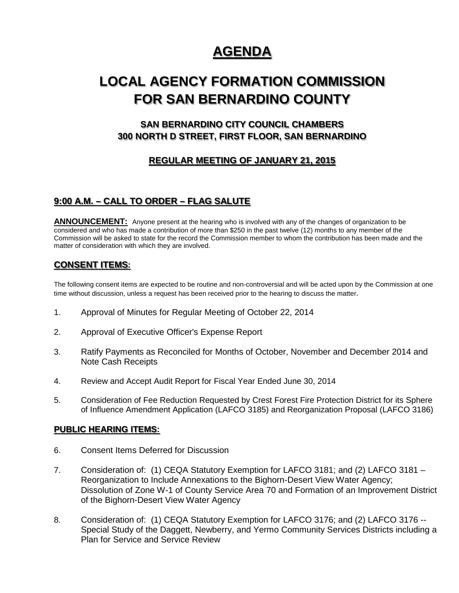# **AGENDA**

# **LOCAL AGENCY FORMATION COMMISSION FOR SAN BERNARDINO COUNTY**

## **SAN BERNARDINO CITY COUNCIL CHAMBERS 300 NORTH D STREET, FIRST FLOOR, SAN BERNARDINO**

## **REGULAR MEETING OF JANUARY 21, 2015**

## **9:00 A.M. – CALL TO ORDER – FLAG SALUTE**

**ANNOUNCEMENT:** Anyone present at the hearing who is involved with any of the changes of organization to be considered and who has made a contribution of more than \$250 in the past twelve (12) months to any member of the Commission will be asked to state for the record the Commission member to whom the contribution has been made and the matter of consideration with which they are involved.

## **CONSENT ITEMS:**

The following consent items are expected to be routine and non-controversial and will be acted upon by the Commission at one time without discussion, unless a request has been received prior to the hearing to discuss the matter.

- 1. Approval of Minutes for Regular Meeting of October 22, 2014
- 2. Approval of Executive Officer's Expense Report
- 3. Ratify Payments as Reconciled for Months of October, November and December 2014 and Note Cash Receipts
- 4. Review and Accept Audit Report for Fiscal Year Ended June 30, 2014
- 5. Consideration of Fee Reduction Requested by Crest Forest Fire Protection District for its Sphere of Influence Amendment Application (LAFCO 3185) and Reorganization Proposal (LAFCO 3186)

#### **PUBLIC HEARING ITEMS:**

- 6. Consent Items Deferred for Discussion
- 7. Consideration of: (1) CEQA Statutory Exemption for LAFCO 3181; and (2) LAFCO 3181 Reorganization to Include Annexations to the Bighorn-Desert View Water Agency; Dissolution of Zone W-1 of County Service Area 70 and Formation of an Improvement District of the Bighorn-Desert View Water Agency
- 8. Consideration of: (1) CEQA Statutory Exemption for LAFCO 3176; and (2) LAFCO 3176 --Special Study of the Daggett, Newberry, and Yermo Community Services Districts including a Plan for Service and Service Review